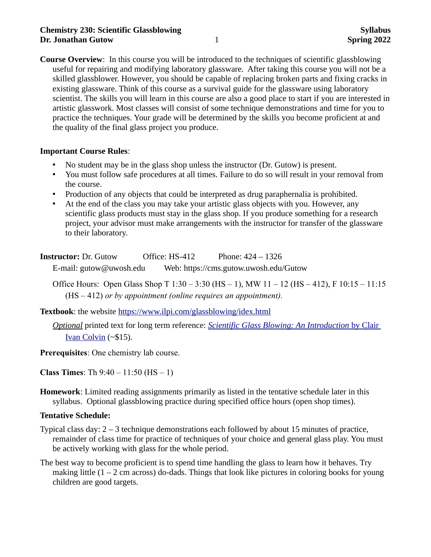## **Chemistry 230: Scientific Glassblowing**  Syllabus **Syllabus Syllabus Dr. Jonathan Gutow** 1 **Spring 2022**

**Course Overview**: In this course you will be introduced to the techniques of scientific glassblowing useful for repairing and modifying laboratory glassware. After taking this course you will not be a skilled glassblower. However, you should be capable of replacing broken parts and fixing cracks in existing glassware. Think of this course as a survival guide for the glassware using laboratory scientist. The skills you will learn in this course are also a good place to start if you are interested in artistic glasswork. Most classes will consist of some technique demonstrations and time for you to practice the techniques. Your grade will be determined by the skills you become proficient at and the quality of the final glass project you produce.

#### **Important Course Rules**:

- No student may be in the glass shop unless the instructor (Dr. Gutow) is present.
- You must follow safe procedures at all times. Failure to do so will result in your removal from the course.
- Production of any objects that could be interpreted as drug paraphernalia is prohibited.
- At the end of the class you may take your artistic glass objects with you. However, any scientific glass products must stay in the glass shop. If you produce something for a research project, your advisor must make arrangements with the instructor for transfer of the glassware to their laboratory.

**Instructor:** Dr. Gutow Office: HS-412 Phone: 424 – 1326 E-mail: gutow@uwosh.edu Web: https://cms.gutow.uwosh.edu/Gutow

Office Hours: Open Glass Shop T 1:30 – 3:30 (HS – 1), MW 11 – 12 (HS – 412), F 10:15 – 11:15 (HS – 412) *or by appointment (online requires an appointment).*

**Textbook**: the website [https://www.ilpi.com/glassblowing/idex.html](https://www.ilpi.com/glassblowing/index.html)

*Optional* printed text for long term reference: *[Scientific Glass Blowing: An Introduction](https://www.amazon.com/SCIENTIFIC-GLASS-BLOWING-AN-INTRODUCTION/dp/1436343496)* [by Clair](https://www.amazon.com/SCIENTIFIC-GLASS-BLOWING-AN-INTRODUCTION/dp/1436343496)  [Ivan Colvin](https://www.amazon.com/SCIENTIFIC-GLASS-BLOWING-AN-INTRODUCTION/dp/1436343496) (~\$15).

**Prerequisites**: One chemistry lab course.

**Class Times**: Th  $9:40 - 11:50$  (HS  $-1$ )

**Homework**: Limited reading assignments primarily as listed in the tentative schedule later in this syllabus. Optional glassblowing practice during specified office hours (open shop times).

### **Tentative Schedule:**

- Typical class day: 2 3 technique demonstrations each followed by about 15 minutes of practice, remainder of class time for practice of techniques of your choice and general glass play. You must be actively working with glass for the whole period.
- The best way to become proficient is to spend time handling the glass to learn how it behaves. Try making little  $(1 – 2$  cm across) do-dads. Things that look like pictures in coloring books for young children are good targets.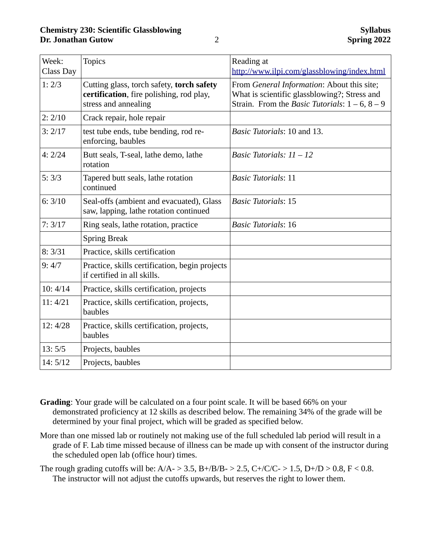| Week:<br>Class Day | <b>Topics</b>                                                                                                 | Reading at<br>http://www.ilpi.com/glassblowing/index.html                                                                                         |
|--------------------|---------------------------------------------------------------------------------------------------------------|---------------------------------------------------------------------------------------------------------------------------------------------------|
| 1:2/3              | Cutting glass, torch safety, torch safety<br>certification, fire polishing, rod play,<br>stress and annealing | From General Information: About this site;<br>What is scientific glassblowing?; Stress and<br>Strain. From the Basic Tutorials: $1 - 6$ , $8 - 9$ |
| 2:2/10             | Crack repair, hole repair                                                                                     |                                                                                                                                                   |
| 3:2/17             | test tube ends, tube bending, rod re-<br>enforcing, baubles                                                   | Basic Tutorials: 10 and 13.                                                                                                                       |
| 4:2/24             | Butt seals, T-seal, lathe demo, lathe<br>rotation                                                             | Basic Tutorials: $11 - 12$                                                                                                                        |
| 5:3/3              | Tapered butt seals, lathe rotation<br>continued                                                               | <b>Basic Tutorials: 11</b>                                                                                                                        |
| 6:3/10             | Seal-offs (ambient and evacuated), Glass<br>saw, lapping, lathe rotation continued                            | <b>Basic Tutorials: 15</b>                                                                                                                        |
| 7:3/17             | Ring seals, lathe rotation, practice                                                                          | <b>Basic Tutorials: 16</b>                                                                                                                        |
|                    | <b>Spring Break</b>                                                                                           |                                                                                                                                                   |
| 8:3/31             | Practice, skills certification                                                                                |                                                                                                                                                   |
| 9:4/7              | Practice, skills certification, begin projects<br>if certified in all skills.                                 |                                                                                                                                                   |
| 10:4/14            | Practice, skills certification, projects                                                                      |                                                                                                                                                   |
| 11: 4/21           | Practice, skills certification, projects,<br>baubles                                                          |                                                                                                                                                   |
| 12:4/28            | Practice, skills certification, projects,<br>baubles                                                          |                                                                                                                                                   |
| 13:5/5             | Projects, baubles                                                                                             |                                                                                                                                                   |
| 14: 5/12           | Projects, baubles                                                                                             |                                                                                                                                                   |

- **Grading**: Your grade will be calculated on a four point scale. It will be based 66% on your demonstrated proficiency at 12 skills as described below. The remaining 34% of the grade will be determined by your final project, which will be graded as specified below.
- More than one missed lab or routinely not making use of the full scheduled lab period will result in a grade of F. Lab time missed because of illness can be made up with consent of the instructor during the scheduled open lab (office hour) times.
- The rough grading cutoffs will be:  $A/A > 3.5$ ,  $B+/B/B > 2.5$ ,  $C+/C/C > 1.5$ ,  $D+/D > 0.8$ ,  $F < 0.8$ . The instructor will not adjust the cutoffs upwards, but reserves the right to lower them.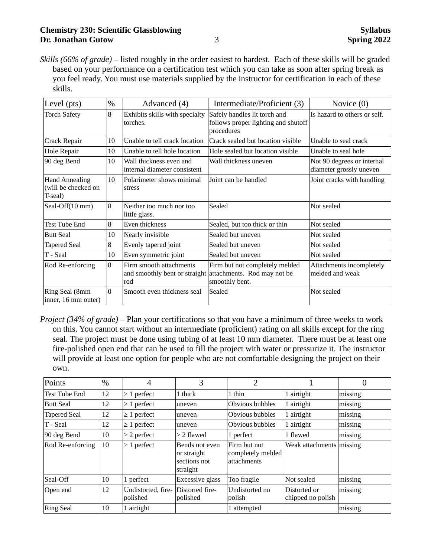# **Chemistry 230: Scientific Glassblowing**  Syllabus **Syllabus Dr. Jonathan Gutow** 3 **Spring 2022**

*Skills (66% of grade)* – listed roughly in the order easiest to hardest. Each of these skills will be graded based on your performance on a certification test which you can take as soon after spring break as you feel ready. You must use materials supplied by the instructor for certification in each of these skills.

| $\%$<br>Level (pts)                                           |          | Advanced (4)                                                                     | Intermediate/Proficient (3)                                                       | Novice (0)                                            |  |
|---------------------------------------------------------------|----------|----------------------------------------------------------------------------------|-----------------------------------------------------------------------------------|-------------------------------------------------------|--|
| <b>Torch Safety</b>                                           | 8        | Exhibits skills with specialty<br>torches.                                       | Safely handles lit torch and<br>follows proper lighting and shutoff<br>procedures | Is hazard to others or self.                          |  |
| Unable to tell crack location<br>Crack Repair<br>10           |          | Crack sealed but location visible                                                | Unable to seal crack                                                              |                                                       |  |
| Hole Repair                                                   | 10       | Unable to tell hole location                                                     | Hole sealed but location visible                                                  | Unable to seal hole                                   |  |
| 90 deg Bend<br>10                                             |          | Wall thickness even and<br>Wall thickness uneven<br>internal diameter consistent |                                                                                   | Not 90 degrees or internal<br>diameter grossly uneven |  |
| <b>Hand Annealing</b><br>10<br>(will be checked on<br>T-seal) |          | Polarimeter shows minimal<br>stress                                              | Joint can be handled                                                              | Joint cracks with handling                            |  |
| 8<br>Seal-Off(10 mm)                                          |          | Neither too much nor too<br>little glass.                                        | Sealed                                                                            | Not sealed                                            |  |
| <b>Test Tube End</b>                                          | 8        | Even thickness                                                                   | Sealed, but too thick or thin                                                     | Not sealed                                            |  |
| <b>Butt Seal</b>                                              | 10       | Nearly invisible                                                                 | Sealed but uneven                                                                 | Not sealed                                            |  |
| <b>Tapered Seal</b>                                           | 8        | Evenly tapered joint                                                             | Sealed but uneven                                                                 | Not sealed                                            |  |
| T - Seal                                                      | 10       | Even symmetric joint                                                             | Sealed but uneven                                                                 | Not sealed                                            |  |
| Rod Re-enforcing                                              | 8        | Firm smooth attachments<br>and smoothly bent or straight<br>rod                  | Firm but not completely melded<br>attachments. Rod may not be<br>smoothly bent.   | Attachments incompletely<br>melded and weak           |  |
| Ring Seal (8mm<br>inner, 16 mm outer)                         | $\Omega$ | Smooth even thickness seal                                                       | Sealed                                                                            | Not sealed                                            |  |

*Project (34% of grade)* – Plan your certifications so that you have a minimum of three weeks to work on this. You cannot start without an intermediate (proficient) rating on all skills except for the ring seal. The project must be done using tubing of at least 10 mm diameter. There must be at least one fire-polished open end that can be used to fill the project with water or pressurize it. The instructor will provide at least one option for people who are not comfortable designing the project on their own.

| Points              | $\frac{10}{6}$ | $\overline{4}$                 | 3                                                         | 2                                                |                                   | 0       |
|---------------------|----------------|--------------------------------|-----------------------------------------------------------|--------------------------------------------------|-----------------------------------|---------|
| Test Tube End       | 12             | $\geq 1$ perfect               | 1 thick                                                   | 1 thin                                           | 1 airtight                        | missing |
| <b>Butt Seal</b>    | 12             | $\geq 1$ perfect               | uneven                                                    | Obvious bubbles                                  | 1 airtight                        | missing |
| <b>Tapered Seal</b> | 12             | $\geq 1$ perfect               | uneven                                                    | Obvious bubbles                                  | 1 airtight                        | missing |
| T - Seal            | 12             | $\geq 1$ perfect               | uneven                                                    | Obvious bubbles                                  | 1 airtight                        | missing |
| 90 deg Bend         | 10             | $\geq$ 2 perfect               | $\geq$ 2 flawed                                           | 1 perfect                                        | 1 flawed                          | missing |
| Rod Re-enforcing    | 10             | $\geq 1$ perfect               | Bends not even<br>or straight<br>sections not<br>straight | Firm but not<br>completely melded<br>attachments | Weak attachments missing          |         |
| Seal-Off            | 10             | 1 perfect                      | Excessive glass                                           | Too fragile                                      | Not sealed                        | missing |
| Open end            | 12             | Undistorted, fire-<br>polished | Distorted fire-<br>polished                               | Undistorted no<br>polish                         | Distorted or<br>chipped no polish | missing |
| <b>Ring Seal</b>    | 10             | 1 airtight                     |                                                           | 1 attempted                                      |                                   | missing |